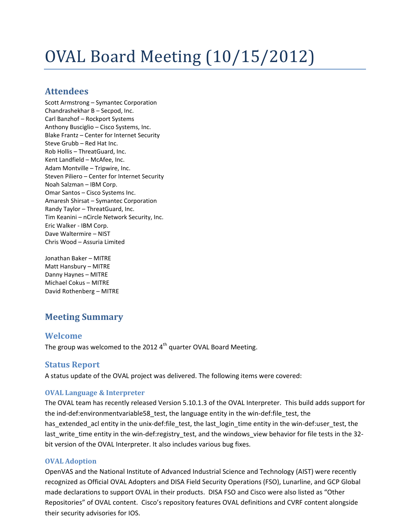# OVAL Board Meeting (10/15/2012)

## **Attendees**

Scott Armstrong – Symantec Corporation Chandrashekhar B – Secpod, Inc. Carl Banzhof – Rockport Systems Anthony Busciglio – Cisco Systems, Inc. Blake Frantz – Center for Internet Security Steve Grubb – Red Hat Inc. Rob Hollis – ThreatGuard, Inc. Kent Landfield – McAfee, Inc. Adam Montville – Tripwire, Inc. Steven Piliero – Center for Internet Security Noah Salzman – IBM Corp. Omar Santos – Cisco Systems Inc. Amaresh Shirsat – Symantec Corporation Randy Taylor – ThreatGuard, Inc. Tim Keanini – nCircle Network Security, Inc. Eric Walker - IBM Corp. Dave Waltermire – NIST Chris Wood – Assuria Limited

Jonathan Baker – MITRE Matt Hansbury – MITRE Danny Haynes – MITRE Michael Cokus – MITRE David Rothenberg – MITRE

# **Meeting Summary**

## **Welcome**

The group was welcomed to the 2012  $4<sup>th</sup>$  quarter OVAL Board Meeting.

## **Status Report**

A status update of the OVAL project was delivered. The following items were covered:

## **OVAL Language & Interpreter**

The OVAL team has recently released Version 5.10.1.3 of the OVAL Interpreter. This build adds support for the ind-def:environmentvariable58\_test, the language entity in the win-def:file\_test, the has\_extended\_acl entity in the unix-def:file\_test, the last\_login\_time entity in the win-def:user\_test, the last write time entity in the win-def:registry test, and the windows view behavior for file tests in the 32bit version of the OVAL Interpreter. It also includes various bug fixes.

## **OVAL Adoption**

OpenVAS and the National Institute of Advanced Industrial Science and Technology (AIST) were recently recognized as Official OVAL Adopters and DISA Field Security Operations (FSO), Lunarline, and GCP Global made declarations to support OVAL in their products. DISA FSO and Cisco were also listed as "Other Repositories" of OVAL content. Cisco's repository features OVAL definitions and CVRF content alongside their security advisories for IOS.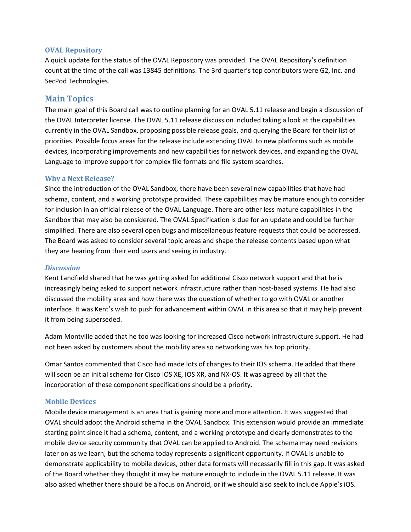#### **OVAL Repository**

A quick update for the status of the OVAL Repository was provided. The OVAL Repository's definition count at the time of the call was 13845 definitions. The 3rd quarter's top contributors were G2, Inc. and SecPod Technologies.

## **Main Topics**

The main goal of this Board call was to outline planning for an OVAL 5.11 release and begin a discussion of the OVAL Interpreter license. The OVAL 5.11 release discussion included taking a look at the capabilities currently in the OVAL Sandbox, proposing possible release goals, and querying the Board for their list of priorities. Possible focus areas for the release include extending OVAL to new platforms such as mobile devices, incorporating improvements and new capabilities for network devices, and expanding the OVAL Language to improve support for complex file formats and file system searches.

#### **Why a Next Release?**

Since the introduction of the OVAL Sandbox, there have been several new capabilities that have had schema, content, and a working prototype provided. These capabilities may be mature enough to consider for inclusion in an official release of the OVAL Language. There are other less mature capabilities in the Sandbox that may also be considered. The OVAL Specification is due for an update and could be further simplified. There are also several open bugs and miscellaneous feature requests that could be addressed. The Board was asked to consider several topic areas and shape the release contents based upon what they are hearing from their end users and seeing in industry.

#### *Discussion*

Kent Landfield shared that he was getting asked for additional Cisco network support and that he is increasingly being asked to support network infrastructure rather than host-based systems. He had also discussed the mobility area and how there was the question of whether to go with OVAL or another interface. It was Kent's wish to push for advancement within OVAL in this area so that it may help prevent it from being superseded.

Adam Montville added that he too was looking for increased Cisco network infrastructure support. He had not been asked by customers about the mobility area so networking was his top priority.

Omar Santos commented that Cisco had made lots of changes to their IOS schema. He added that there will soon be an initial schema for Cisco IOS XE, IOS XR, and NX-OS. It was agreed by all that the incorporation of these component specifications should be a priority.

#### **Mobile Devices**

Mobile device management is an area that is gaining more and more attention. It was suggested that OVAL should adopt the Android schema in the OVAL Sandbox. This extension would provide an immediate starting point since it had a schema, content, and a working prototype and clearly demonstrates to the mobile device security community that OVAL can be applied to Android. The schema may need revisions later on as we learn, but the schema today represents a significant opportunity. If OVAL is unable to demonstrate applicability to mobile devices, other data formats will necessarily fill in this gap. It was asked of the Board whether they thought it may be mature enough to include in the OVAL 5.11 release. It was also asked whether there should be a focus on Android, or if we should also seek to include Apple's iOS.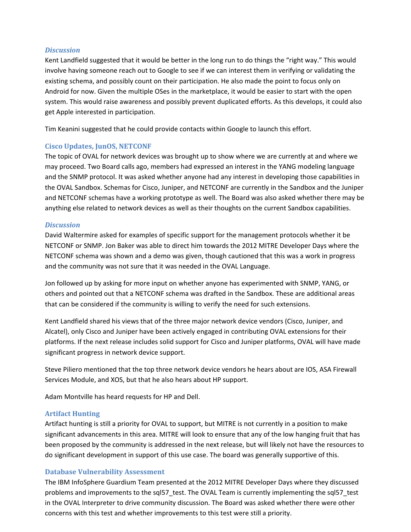#### *Discussion*

Kent Landfield suggested that it would be better in the long run to do things the "right way." This would involve having someone reach out to Google to see if we can interest them in verifying or validating the existing schema, and possibly count on their participation. He also made the point to focus only on Android for now. Given the multiple OSes in the marketplace, it would be easier to start with the open system. This would raise awareness and possibly prevent duplicated efforts. As this develops, it could also get Apple interested in participation.

Tim Keanini suggested that he could provide contacts within Google to launch this effort.

#### **Cisco Updates, JunOS, NETCONF**

The topic of OVAL for network devices was brought up to show where we are currently at and where we may proceed. Two Board calls ago, members had expressed an interest in the YANG modeling language and the SNMP protocol. It was asked whether anyone had any interest in developing those capabilities in the OVAL Sandbox. Schemas for Cisco, Juniper, and NETCONF are currently in the Sandbox and the Juniper and NETCONF schemas have a working prototype as well. The Board was also asked whether there may be anything else related to network devices as well as their thoughts on the current Sandbox capabilities.

#### *Discussion*

David Waltermire asked for examples of specific support for the management protocols whether it be NETCONF or SNMP. Jon Baker was able to direct him towards the 2012 MITRE Developer Days where the NETCONF schema was shown and a demo was given, though cautioned that this was a work in progress and the community was not sure that it was needed in the OVAL Language.

Jon followed up by asking for more input on whether anyone has experimented with SNMP, YANG, or others and pointed out that a NETCONF schema was drafted in the Sandbox. These are additional areas that can be considered if the community is willing to verify the need for such extensions.

Kent Landfield shared his views that of the three major network device vendors (Cisco, Juniper, and Alcatel), only Cisco and Juniper have been actively engaged in contributing OVAL extensions for their platforms. If the next release includes solid support for Cisco and Juniper platforms, OVAL will have made significant progress in network device support.

Steve Piliero mentioned that the top three network device vendors he hears about are IOS, ASA Firewall Services Module, and XOS, but that he also hears about HP support.

Adam Montville has heard requests for HP and Dell.

#### **Artifact Hunting**

Artifact hunting is still a priority for OVAL to support, but MITRE is not currently in a position to make significant advancements in this area. MITRE will look to ensure that any of the low hanging fruit that has been proposed by the community is addressed in the next release, but will likely not have the resources to do significant development in support of this use case. The board was generally supportive of this.

#### **Database Vulnerability Assessment**

The IBM InfoSphere Guardium Team presented at the 2012 MITRE Developer Days where they discussed problems and improvements to the sql57\_test. The OVAL Team is currently implementing the sql57\_test in the OVAL Interpreter to drive community discussion. The Board was asked whether there were other concerns with this test and whether improvements to this test were still a priority.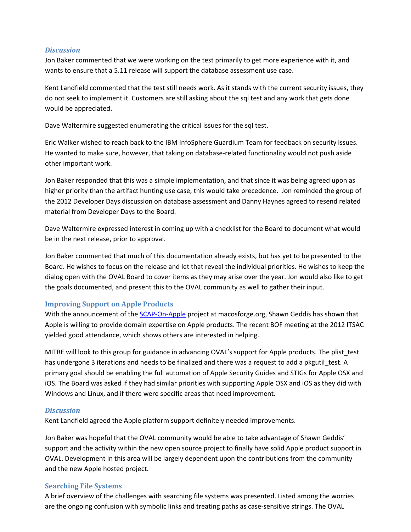#### *Discussion*

Jon Baker commented that we were working on the test primarily to get more experience with it, and wants to ensure that a 5.11 release will support the database assessment use case.

Kent Landfield commented that the test still needs work. As it stands with the current security issues, they do not seek to implement it. Customers are still asking about the sql test and any work that gets done would be appreciated.

Dave Waltermire suggested enumerating the critical issues for the sql test.

Eric Walker wished to reach back to the IBM InfoSphere Guardium Team for feedback on security issues. He wanted to make sure, however, that taking on database-related functionality would not push aside other important work.

Jon Baker responded that this was a simple implementation, and that since it was being agreed upon as higher priority than the artifact hunting use case, this would take precedence. Jon reminded the group of the 2012 Developer Days discussion on database assessment and Danny Haynes agreed to resend related material from Developer Days to the Board.

Dave Waltermire expressed interest in coming up with a checklist for the Board to document what would be in the next release, prior to approval.

Jon Baker commented that much of this documentation already exists, but has yet to be presented to the Board. He wishes to focus on the release and let that reveal the individual priorities. He wishes to keep the dialog open with the OVAL Board to cover items as they may arise over the year. Jon would also like to get the goals documented, and present this to the OVAL community as well to gather their input.

#### **Improving Support on Apple Products**

With the announcement of the [SCAP-On-Apple](http://scap-on-apple.macosforge.org/) project at macosforge.org, Shawn Geddis has shown that Apple is willing to provide domain expertise on Apple products. The recent BOF meeting at the 2012 ITSAC yielded good attendance, which shows others are interested in helping.

MITRE will look to this group for guidance in advancing OVAL's support for Apple products. The plist\_test has undergone 3 iterations and needs to be finalized and there was a request to add a pkgutil test. A primary goal should be enabling the full automation of Apple Security Guides and STIGs for Apple OSX and iOS. The Board was asked if they had similar priorities with supporting Apple OSX and iOS as they did with Windows and Linux, and if there were specific areas that need improvement.

#### *Discussion*

Kent Landfield agreed the Apple platform support definitely needed improvements.

Jon Baker was hopeful that the OVAL community would be able to take advantage of Shawn Geddis' support and the activity within the new open source project to finally have solid Apple product support in OVAL. Development in this area will be largely dependent upon the contributions from the community and the new Apple hosted project.

#### **Searching File Systems**

A brief overview of the challenges with searching file systems was presented. Listed among the worries are the ongoing confusion with symbolic links and treating paths as case-sensitive strings. The OVAL